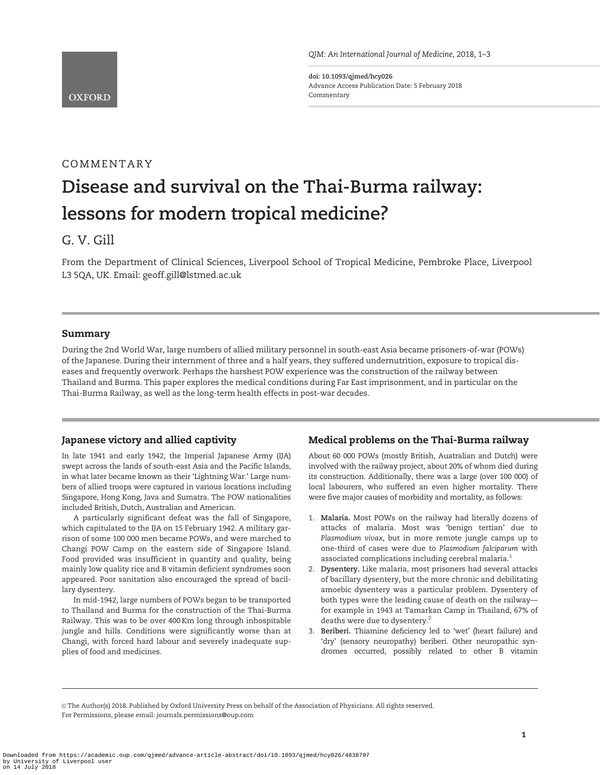<span id="page-0-0"></span>

doi: 10.1093/qjmed/hcy026 Advance Access Publication Date: 5 February 2018 Commentary

## COMMENTARY

# Disease and survival on the Thai-Burma railway: lessons for modern tropical medicine?

### G. V. Gill

From the Department of Clinical Sciences, Liverpool School of Tropical Medicine, Pembroke Place, Liverpool L3 5QA, UK. Email: geoff.gill@lstmed.ac.uk

#### Summary

During the 2nd World War, large numbers of allied military personnel in south-east Asia became prisoners-of-war (POWs) of the Japanese. During their internment of three and a half years, they suffered undernutrition, exposure to tropical diseases and frequently overwork. Perhaps the harshest POW experience was the construction of the railway between Thailand and Burma. This paper explores the medical conditions during Far East imprisonment, and in particular on the Thai-Burma Railway, as well as the long-term health effects in post-war decades.

#### Japanese victory and allied captivity

In late 1941 and early 1942, the Imperial Japanese Army (IJA) swept across the lands of south-east Asia and the Pacific Islands, in what later became known as their 'Lightning War.' Large numbers of allied troops were captured in various locations including Singapore, Hong Kong, Java and Sumatra. The POW nationalities included British, Dutch, Australian and American.

A particularly significant defeat was the fall of Singapore, which capitulated to the IJA on 15 February 1942. A military garrison of some 100 000 men became POWs, and were marched to Changi POW Camp on the eastern side of Singapore Island. Food provided was insufficient in quantity and quality, being mainly low quality rice and B vitamin deficient syndromes soon appeared. Poor sanitation also encouraged the spread of bacillary dysentery.

In mid-1942, large numbers of POWs began to be transported to Thailand and Burma for the construction of the Thai-Burma Railway. This was to be over 400 Km long through inhospitable jungle and hills. Conditions were significantly worse than at Changi, with forced hard labour and severely inadequate supplies of food and medicines.

#### Medical problems on the Thai-Burma railway

About 60 000 POWs (mostly British, Auatralian and Dutch) were involved with the railway project, about 20% of whom died during its construction. Additionally, there was a large (over 100 000) of local labourers, who suffered an even higher mortality. There were five major causes of morbidity and mortality, as follows:

- 1. Malaria. Most POWs on the railway had literally dozens of attacks of malaria. Most was 'benign tertian' due to Plasmodium vivax, but in more remote jungle camps up to one-third of cases were due to Plasmodium falciparum with associated complications including cerebral malaria.<sup>[1](#page-2-0)</sup>
- 2. Dysentery. Like malaria, most prisoners had several attacks of bacillary dysentery, but the more chronic and debilitating amoebic dysentery was a particular problem. Dysentery of both types were the leading cause of death on the railway–– for example in 1943 at Tamarkan Camp in Thailand, 67% of deaths were due to dysentery.<sup>2</sup>
- 3. Beriberi. Thiamine deficiency led to 'wet' (heart failure) and 'dry' (sensory neuropathy) beriberi. Other neuropathic syndromes occurred, possibly related to other B vitamin

The Author(s) 2018. Published by Oxford University Press on behalf of the Association of Physicians. All rights reserved. For Permissions, please email: journals.permissions@oup.com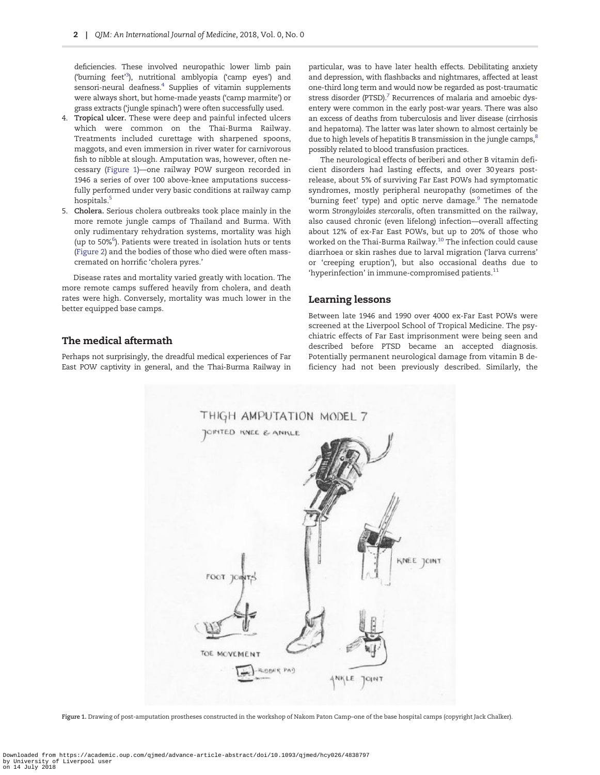<span id="page-1-0"></span>deficiencies. These involved neuropathic lower limb pain ('burning feet'<sup>[3](#page-2-0)</sup>), nutritional amblyopia ('camp eyes') and sensori-neural deafness. $4$  Supplies of vitamin supplements were always short, but home-made yeasts ('camp marmite') or grass extracts ('jungle spinach') were often successfully used.

- 4. Tropical ulcer. These were deep and painful infected ulcers which were common on the Thai-Burma Railway. Treatments included curettage with sharpened spoons, maggots, and even immersion in river water for carnivorous fish to nibble at slough. Amputation was, however, often necessary (Figure 1)––one railway POW surgeon recorded in 1946 a series of over 100 above-knee amputations successfully performed under very basic conditions at railway camp hospitals.<sup>[5](#page-2-0)</sup>
- 5. Cholera. Serious cholera outbreaks took place mainly in the more remote jungle camps of Thailand and Burma. With only rudimentary rehydration systems, mortality was high (up to 50%<sup>[6](#page-2-0)</sup>). Patients were treated in isolation huts or tents [\(Figure 2\)](#page-2-0) and the bodies of those who died were often masscremated on horrific 'cholera pyres.'

Disease rates and mortality varied greatly with location. The more remote camps suffered heavily from cholera, and death rates were high. Conversely, mortality was much lower in the better equipped base camps.

#### The medical aftermath

Perhaps not surprisingly, the dreadful medical experiences of Far East POW captivity in general, and the Thai-Burma Railway in particular, was to have later health effects. Debilitating anxiety and depression, with flashbacks and nightmares, affected at least one-third long term and would now be regarded as post-traumatic stress disorder (PTSD).<sup>7</sup> Recurrences of malaria and amoebic dysentery were common in the early post-war years. There was also an excess of deaths from tuberculosis and liver disease (cirrhosis and hepatoma). The latter was later shown to almost certainly be due to high levels of hepatitis B transmission in the jungle camps, ${}^{8}$ possibly related to blood transfusion practices.

The neurological effects of beriberi and other B vitamin deficient disorders had lasting effects, and over 30 years postrelease, about 5% of surviving Far East POWs had symptomatic syndromes, mostly peripheral neuropathy (sometimes of the 'burning feet' type) and optic nerve damage.<sup>[9](#page-2-0)</sup> The nematode worm Strongyloides stercoralis, often transmitted on the railway, also caused chronic (even lifelong) infection––overall affecting about 12% of ex-Far East POWs, but up to 20% of those who worked on the Thai-Burma Railway.[10](#page-2-0) The infection could cause diarrhoea or skin rashes due to larval migration ('larva currens' or 'creeping eruption'), but also occasional deaths due to 'hyperinfection' in immune-compromised patients. $^{11}$  $^{11}$  $^{11}$ 

#### Learning lessons

Between late 1946 and 1990 over 4000 ex-Far East POWs were screened at the Liverpool School of Tropical Medicine. The psychiatric effects of Far East imprisonment were being seen and described before PTSD became an accepted diagnosis. Potentially permanent neurological damage from vitamin B deficiency had not been previously described. Similarly, the



Figure 1. Drawing of post-amputation prostheses constructed in the workshop of Nakom Paton Camp–one of the base hospital camps (copyright Jack Chalker).